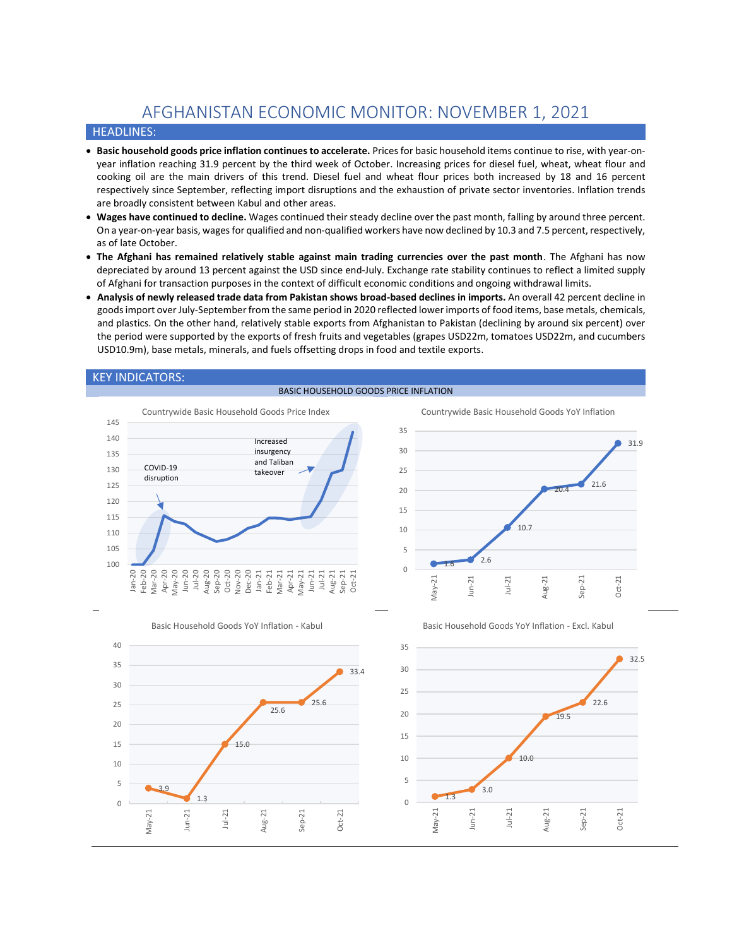# AFGHANISTAN ECONOMIC MONITOR: NOVEMBER 1, 2021

## HEADLINES:

- **Basic household goods price inflation continues to accelerate.** Prices for basic household items continue to rise, with year-onyear inflation reaching 31.9 percent by the third week of October. Increasing prices for diesel fuel, wheat, wheat flour and cooking oil are the main drivers of this trend. Diesel fuel and wheat flour prices both increased by 18 and 16 percent respectively since September, reflecting import disruptions and the exhaustion of private sector inventories. Inflation trends are broadly consistent between Kabul and other areas.
- **Wages have continued to decline.** Wages continued their steady decline over the past month, falling by around three percent. On a year-on-year basis, wagesfor qualified and non-qualified workers have now declined by 10.3 and 7.5 percent, respectively, as of late October.
- **The Afghani has remained relatively stable against main trading currencies over the past month**. The Afghani has now depreciated by around 13 percent against the USD since end-July. Exchange rate stability continues to reflect a limited supply of Afghani for transaction purposes in the context of difficult economic conditions and ongoing withdrawal limits.
- **Analysis of newly released trade data from Pakistan shows broad-based declines in imports.** An overall 42 percent decline in goods import over July-September from the same period in 2020 reflected lower imports of food items, base metals, chemicals, and plastics. On the other hand, relatively stable exports from Afghanistan to Pakistan (declining by around six percent) over the period were supported by the exports of fresh fruits and vegetables (grapes USD22m, tomatoes USD22m, and cucumbers USD10.9m), base metals, minerals, and fuels offsetting drops in food and textile exports.



#### BASIC HOUSEHOLD GOODS PRICE INFLATION





Basic Household Goods YoY Inflation - Excl. Kabul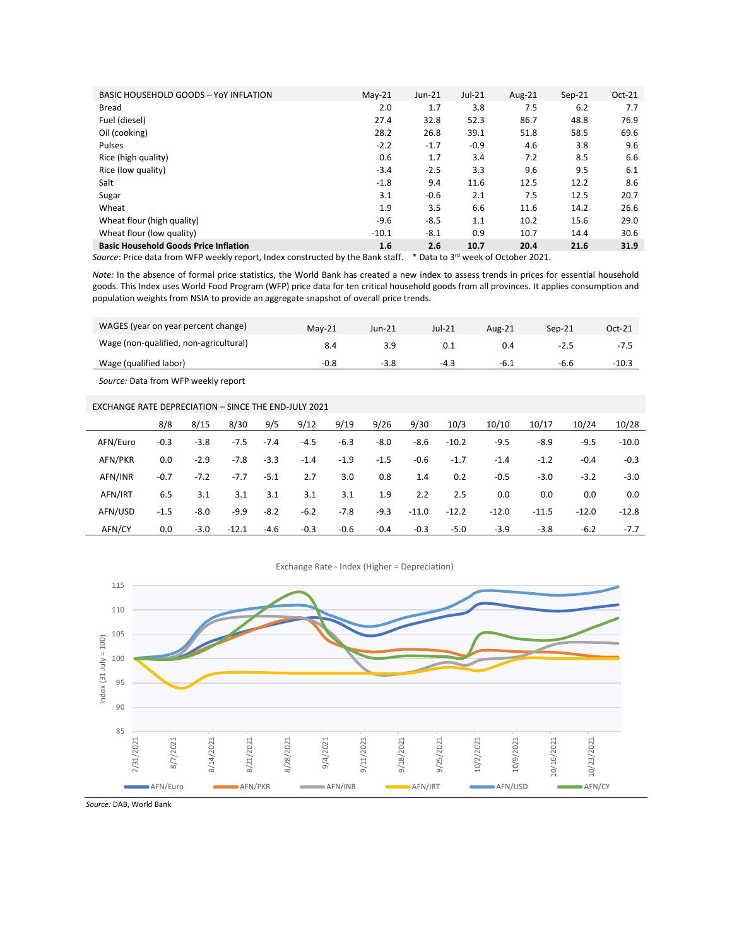| BASIC HOUSEHOLD GOODS - YoY INFLATION        | $Mav-21$ | $Jun-21$ | $Jul-21$ | Aug- $21$ | $Sep-21$ | $Oct-21$ |
|----------------------------------------------|----------|----------|----------|-----------|----------|----------|
| Bread                                        | 2.0      | 1.7      | 3.8      | 7.5       | 6.2      | 7.7      |
| Fuel (diesel)                                | 27.4     | 32.8     | 52.3     | 86.7      | 48.8     | 76.9     |
| Oil (cooking)                                | 28.2     | 26.8     | 39.1     | 51.8      | 58.5     | 69.6     |
| Pulses                                       | $-2.2$   | $-1.7$   | $-0.9$   | 4.6       | 3.8      | 9.6      |
| Rice (high quality)                          | 0.6      | 1.7      | 3.4      | 7.2       | 8.5      | 6.6      |
| Rice (low quality)                           | $-3.4$   | $-2.5$   | 3.3      | 9.6       | 9.5      | 6.1      |
| Salt                                         | $-1.8$   | 9.4      | 11.6     | 12.5      | 12.2     | 8.6      |
| Sugar                                        | 3.1      | $-0.6$   | 2.1      | 7.5       | 12.5     | 20.7     |
| Wheat                                        | 1.9      | 3.5      | 6.6      | 11.6      | 14.2     | 26.6     |
| Wheat flour (high quality)                   | $-9.6$   | $-8.5$   | 1.1      | 10.2      | 15.6     | 29.0     |
| Wheat flour (low quality)                    | $-10.1$  | $-8.1$   | 0.9      | 10.7      | 14.4     | 30.6     |
| <b>Basic Household Goods Price Inflation</b> | 1.6      | 2.6      | 10.7     | 20.4      | 21.6     | 31.9     |

Source: Price data from WFP weekly report, Index constructed by the Bank staff. \* Data to 3<sup>rd</sup> week of October 2021.

*Note:* In the absence of formal price statistics, the World Bank has created a new index to assess trends in prices for essential household goods. This Index uses World Food Program (WFP) price data for ten critical household goods from all provinces. It applies consumption and population weights from NSIA to provide an aggregate snapshot of overall price trends.

| WAGES (year on year percent change)    | $Mav-21$ | Jun-21 | Jul-21 | Aug-21 | Sep-21 | Oct-21  |
|----------------------------------------|----------|--------|--------|--------|--------|---------|
| Wage (non-qualified, non-agricultural) | 8.4      |        |        |        | -2.5   | -7.5    |
| Wage (qualified labor)                 | -0.8     | $-3.8$ | -4.3   | -6.1   | -b.b   | $-10.3$ |

*Source:* Data from WFP weekly report

### EXCHANGE RATE DEPRECIATION – SINCE THE END-JULY 2021

|          | 8/8    | 8/15   | 8/30    | 9/5    | 9/12   | 9/19   | 9/26   | 9/30    | 10/3    | 10/10   | 10/17   | 10/24   | 10/28   |
|----------|--------|--------|---------|--------|--------|--------|--------|---------|---------|---------|---------|---------|---------|
| AFN/Euro | $-0.3$ | $-3.8$ | $-7.5$  | $-7.4$ | $-4.5$ | $-6.3$ | -8.0   | -8.6    | $-10.2$ | $-9.5$  | -8.9    | $-9.5$  | $-10.0$ |
| AFN/PKR  | 0.0    | $-2.9$ | $-7.8$  | $-3.3$ | $-1.4$ | $-1.9$ | $-1.5$ | $-0.6$  | $-1.7$  | $-1.4$  | $-1.2$  | $-0.4$  | $-0.3$  |
| AFN/INR  | $-0.7$ | $-7.2$ | $-7.7$  | $-5.1$ | 2.7    | 3.0    | 0.8    | 1.4     | 0.2     | $-0.5$  | $-3.0$  | $-3.2$  | $-3.0$  |
| AFN/IRT  | 6.5    | 3.1    | 3.1     | 3.1    | 3.1    | 3.1    | 1.9    | 2.2     | 2.5     | 0.0     | 0.0     | 0.0     | 0.0     |
| AFN/USD  | $-1.5$ | $-8.0$ | $-9.9$  | $-8.2$ | $-6.2$ | -7.8   | $-9.3$ | $-11.0$ | $-12.2$ | $-12.0$ | $-11.5$ | $-12.0$ | $-12.8$ |
| AFN/CY   | 0.0    | $-3.0$ | $-12.1$ | $-4.6$ | $-0.3$ | $-0.6$ | $-0.4$ | $-0.3$  | $-5.0$  | $-3.9$  | $-3.8$  | $-6.2$  | $-7.7$  |



Exchange Rate - Index (Higher = Depreciation)

*Source:* DAB, World Bank